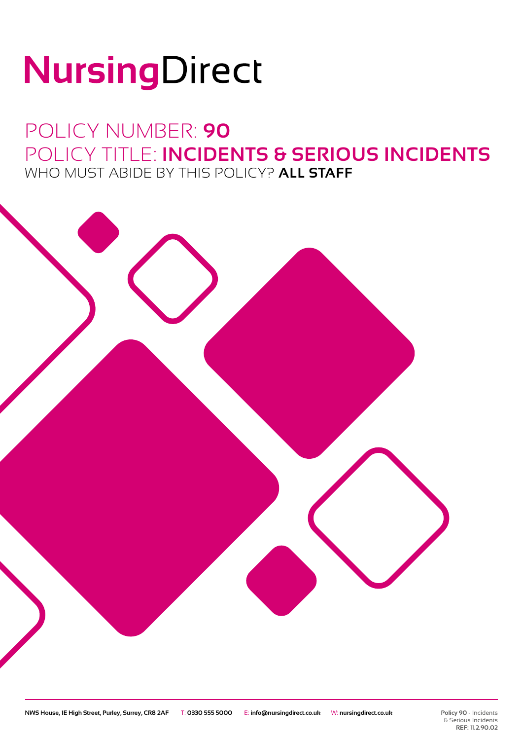# NursingDirect

## POLICY NUMBER: **90** POLICY TITLE: **INCIDENTS & SERIOUS INCIDENTS** WHO MUST ABIDE BY THIS POLICY? **ALL STAFF**

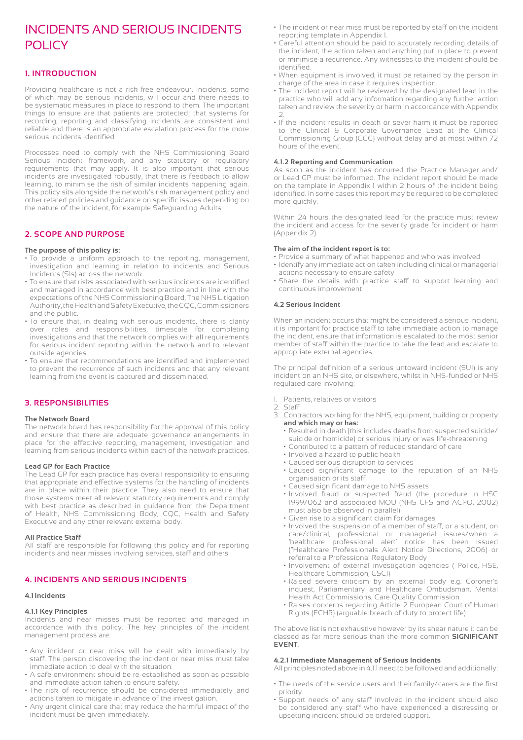## INCIDENTS AND SERIOUS INCIDENTS POLICY

#### **1. INTRODUCTION**

Providing healthcare is not a risk-free endeavour. Incidents, some of which may be serious incidents, will occur and there needs to be systematic measures in place to respond to them. The important things to ensure are that patients are protected; that systems for recording, reporting and classifying incidents are consistent and reliable and there is an appropriate escalation process for the more serious incidents identified.

Processes need to comply with the NHS Commissioning Board Serious Incident framework, and any statutory or regulatory requirements that may apply. It is also important that serious incidents are investigated robustly, that there is feedback to allow learning, to minimise the risk of similar incidents happening again. This policy sits alongside the network's risk management policy and other related policies and guidance on specific issues depending on the nature of the incident, for example Safeguarding Adults.

#### **2. SCOPE AND PURPOSE**

#### **The purpose of this policy is:**

- To provide a uniform approach to the reporting, management, investigation and learning in relation to incidents and Serious Incidents (SIs) across the network.
- To ensure that risks associated with serious incidents are identified and managed in accordance with best practice and in line with the expectations of the NHS Commissioning Board, The NHS Litigation Authority, the Health and Safety Executive, the CQC, Commissioners and the public.
- To ensure that, in dealing with serious incidents, there is clarity over roles and responsibilities, timescale for completing investigations and that the network complies with all requirements for serious incident reporting within the network and to relevant outside agencies.
- To ensure that recommendations are identified and implemented to prevent the recurrence of such incidents and that any relevant learning from the event is captured and disseminated.

#### **3. RESPONSIBILITIES**

#### **The Network Board**

The network board has responsibility for the approval of this policy and ensure that there are adequate governance arrangements in place for the effective reporting, management, investigation and learning from serious incidents within each of the network practices.

#### **Lead GP for Each Practice**

The Lead GP for each practice has overall responsibility to ensuring that appropriate and effective systems for the handling of incidents are in place within their practice. They also need to ensure that those systems meet all relevant statutory requirements and comply with best practice as described in guidance from the Department of Health, NHS Commissioning Body, CQC, Health and Safety Executive and any other relevant external body.

#### **All Practice Staff**

All staff are responsible for following this policy and for reporting incidents and near misses involving services, staff and others.

#### **4. INCIDENTS AND SERIOUS INCIDENTS**

#### **4.1 Incidents**

#### **4.1.1 Key Principles**

Incidents and near misses must be reported and managed in accordance with this policy. The key principles of the incident management process are:

- Any incident or near miss will be dealt with immediately by staff. The person discovering the incident or near miss must take immediate action to deal with the situation.
- A safe environment should be re-established as soon as possible and immediate action taken to ensure safety.
- The risk of recurrence should be considered immediately and actions taken to mitigate in advance of the investigation.
- Any urgent clinical care that may reduce the harmful impact of the incident must be given immediately.
- The incident or near miss must be reported by staff on the incident reporting template in Appendix 1.
- Careful attention should be paid to accurately recording details of the incident, the action taken and anything put in place to prevent or minimise a recurrence. Any witnesses to the incident should be identified.
- When equipment is involved, it must be retained by the person in charge of the area in case it requires inspection.
- The incident report will be reviewed by the designated lead in the practice who will add any information regarding any further action taken and review the severity or harm in accordance with Appendix 2.
- If the incident results in death or sever harm it must be reported to the Clinical & Corporate Governance Lead at the Clinical Commissioning Group (CCG) without delay and at most within 72 hours of the event.

#### **4.1.2 Reporting and Communication**

As soon as the incident has occurred the Practice Manager and/ or Lead GP must be informed. The incident report should be made on the template in Appendix 1 within 2 hours of the incident being identified. In some cases this report may be required to be completed more quickly.

Within 24 hours the designated lead for the practice must review the incident and access for the severity grade for incident or harm (Appendix 2).

#### **The aim of the incident report is to:**

- Provide a summary of what happened and who was involved
- Identify any immediate action taken including clinical or managerial actions necessary to ensure safety
- Share the details with practice staff to support learning and continuous improvement

#### **4.2 Serious Incident**

When an incident occurs that might be considered a serious incident, it is important for practice staff to take immediate action to manage the incident, ensure that information is escalated to the most senior member of staff within the practice to take the lead and escalate to appropriate external agencies.

The principal definition of a serious untoward incident (SUI) is any incident on an NHS site, or elsewhere, whilst in NHS-funded or NHS regulated care involving:

- 1. Patients, relatives or visitors
- 2. Staff
- 3. Contractors working for the NHS, equipment, building or property **and which may or has:**
	- Resulted in death (this includes deaths from suspected suicide/ suicide or homicide) or serious injury or was life-threatening
	- Contributed to a pattern of reduced standard of care
	- Involved a hazard to public health
	- Caused serious disruption to services
	- Caused significant damage to the reputation of an NHS organisation or its staff
	- Caused significant damage to NHS assets
	- Involved fraud or suspected fraud (the procedure in HSC 1999/062 and associated MOU (NHS CFS and ACPO, 2002) must also be observed in parallel)
	- Given rise to a significant claim for damages
- Involved the suspension of a member of staff, or a student, on care/clinical, professional or managerial issues/when a 'healthcare professional alert' notice has been issued ("Healthcare Professionals Alert Notice Directions, 2006) or referral to a Professional Regulatory Body
	- Involvement of external investigation agencies ( Police, HSE, Healthcare Commission, CSCI)
	- Raised severe criticism by an external body e.g. Coroner's inquest, Parliamentary and Healthcare Ombudsman, Mental Health Act Commissions, Care Quality Commission
	- Raises concerns regarding Article 2 European Court of Human Rights (ECHR) (arguable breach of duty to protect life)

The above list is not exhaustive however by its shear nature it can be classed as far more serious than the more common **SIGNIFICANT EVENT**.

#### **4.2.1 Immediate Management of Serious Incidents**

All principles noted above in 4.1.1 need to be followed and additionally:

- The needs of the service users and their family/carers are the first priority.
- Support needs of any staff involved in the incident should also be considered any staff who have experienced a distressing or upsetting incident should be ordered support.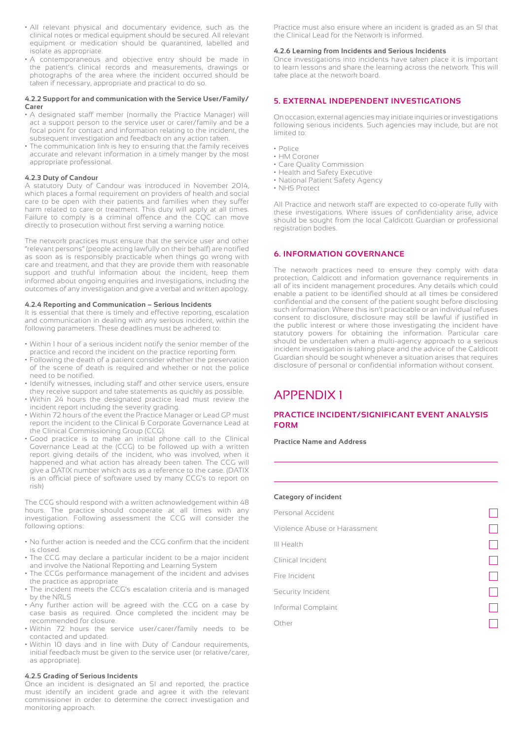- All relevant physical and documentary evidence, such as the clinical notes or medical equipment should be secured. All relevant equipment or medication should be quarantined, labelled and isolate as appropriate.
- A contemporaneous and objective entry should be made in the patient's clinical records and measurements, drawings or photographs of the area where the incident occurred should be taken if necessary, appropriate and practical to do so.

#### **4.2.2 Support for and communication with the Service User/Family/ Carer**

- A designated staff member (normally the Practice Manager) will act a support person to the service user or carer/family and be a focal point for contact and information relating to the incident, the subsequent investigation and feedback on any action taken.
- The communication link is key to ensuring that the family receives accurate and relevant information in a timely manger by the most appropriate professional.

#### **4.2.3 Duty of Candour**

A statutory Duty of Candour was introduced in November 2014, which places a formal requirement on providers of health and social care to be open with their patients and families when they suffer harm related to care or treatment. This duty will apply at all times. Failure to comply is a criminal offence and the CQC can move directly to prosecution without first serving a warning notice.

The network practices must ensure that the service user and other "relevant persons" (people acting lawfully on their behalf) are notified as soon as is responsibly practicable when things go wrong with care and treatment, and that they are provide them with reasonable support and truthful information about the incident, keep them informed about ongoing enquiries and investigations, including the outcomes of any investigation and give a verbal and written apology.

#### **4.2.4 Reporting and Communication – Serious Incidents**

It is essential that there is timely and effective reporting, escalation and communication in dealing with any serious incident, within the following parameters. These deadlines must be adhered to:

- Within 1 hour of a serious incident notify the senior member of the practice and record the incident on the practice reporting form.
- Following the death of a patient consider whether the preservation of the scene of death is required and whether or not the police need to be notified.
- Identify witnesses, including staff and other service users, ensure they receive support and take statements as quickly as possible.
- Within 24 hours the designated practice lead must review the incident report including the severity grading.
- Within 72 hours of the event the Practice Manager or Lead GP must report the incident to the Clinical & Corporate Governance Lead at the Clinical Commissioning Group (CCG).
- Good practice is to make an initial phone call to the Clinical Governance Lead at the (CCG) to be followed up with a written report giving details of the incident, who was involved, when it happened and what action has already been taken. The CCG will give a DATIX number which acts as a reference to the case. (DATIX is an official piece of software used by many CCG's to report on risk)

The CCG should respond with a written acknowledgement within 48 hours. The practice should cooperate at all times with any investigation. Following assessment the CCG will consider the following options:

- No further action is needed and the CCG confirm that the incident is closed.
- The CCG may declare a particular incident to be a major incident and involve the National Reporting and Learning System
- The CCGs performance management of the incident and advises the practice as appropriate
- The incident meets the CCG's escalation criteria and is managed by the NRLS
- Any further action will be agreed with the CCG on a case by case basis as required. Once completed the incident may be recommended for closure.
- Within 72 hours the service user/carer/family needs to be contacted and updated.
- Within 10 days and in line with Duty of Candour requirements, initial feedback must be given to the service user (or relative/carer, as appropriate).

#### **4.2.5 Grading of Serious Incidents**

Once an incident is designated an SI and reported, the practice must identify an incident grade and agree it with the relevant commissioner in order to determine the correct investigation and monitoring approach.

Practice must also ensure where an incident is graded as an SI that the Clinical Lead for the Network is informed.

#### **4.2.6 Learning from Incidents and Serious Incidents**

Once investigations into incidents have taken place it is important to learn lessons and share the learning across the network. This will take place at the network board.

#### **5. EXTERNAL INDEPENDENT INVESTIGATIONS**

On occasion, external agencies may initiate inquiries or investigations following serious incidents. Such agencies may include, but are not limited to:

- Police
- HM Coroner
- Care Quality Commission
- Health and Safety Executive
- National Patient Safety Agency
- NHS Protect

All Practice and network staff are expected to co-operate fully with these investigations. Where issues of confidentiality arise, advice should be sought from the local Caldicott Guardian or professional registration bodies.

#### **6. INFORMATION GOVERNANCE**

The network practices need to ensure they comply with data protection, Caldicott and information governance requirements in all of its incident management procedures. Any details which could enable a patient to be identified should at all times be considered confidential and the consent of the patient sought before disclosing such information. Where this isn't practicable or an individual refuses consent to disclosure, disclosure may still be lawful if justified in the public interest or where those investigating the incident have statutory powers for obtaining the information. Particular care should be undertaken when a multi-agency approach to a serious incident investigation is taking place and the advice of the Caldicott Guardian should be sought whenever a situation arises that requires disclosure of personal or confidential information without consent.

### APPENDIX 1

#### **PRACTICE INCIDENT/SIGNIFICANT EVENT ANALYSIS FORM**

**Practice Name and Address**

#### **Category of incident**

| Personal Accident            |  |
|------------------------------|--|
| Violence Abuse or Harassment |  |
| III Health                   |  |
| Clinical Incident            |  |
| Fire Incident                |  |
| Security Incident            |  |
| Informal Complaint           |  |
| Other                        |  |
|                              |  |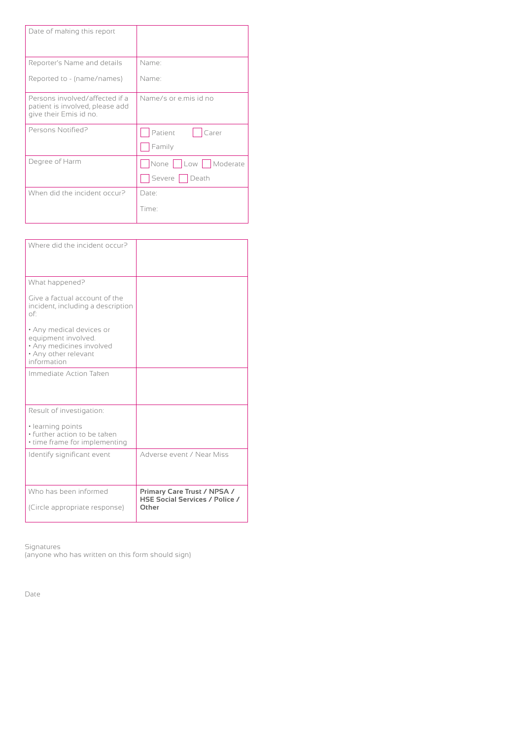| Date of making this report                                                                  |                       |  |  |
|---------------------------------------------------------------------------------------------|-----------------------|--|--|
| Reporter's Name and details                                                                 | Name:                 |  |  |
| Reported to - (name/names)                                                                  | Name <sup>.</sup>     |  |  |
| Persons involved/affected if a<br>patient is involved, please add<br>give their Emis id no. | Name/s or e.mis id no |  |  |
| Persons Notified?                                                                           | Patient<br>Carer      |  |  |
|                                                                                             | Family                |  |  |
| Degree of Harm                                                                              | None Low Moderate     |  |  |
|                                                                                             | Severe   Death        |  |  |
| When did the incident occur?                                                                | Date:                 |  |  |
|                                                                                             | Time:                 |  |  |

| Where did the incident occur?                                                                                      |                                                                               |
|--------------------------------------------------------------------------------------------------------------------|-------------------------------------------------------------------------------|
| What happened?                                                                                                     |                                                                               |
| Give a factual account of the<br>incident, including a description<br>of:                                          |                                                                               |
| • Any medical devices or<br>equipment involved.<br>· Any medicines involved<br>• Any other relevant<br>information |                                                                               |
| Immediate Action Taken                                                                                             |                                                                               |
| Result of investigation:                                                                                           |                                                                               |
| · learning points<br>· further action to be taken<br>• time frame for implementing                                 |                                                                               |
| Identify significant event                                                                                         | Adverse event / Near Miss                                                     |
| Who has been informed<br>(Circle appropriate response)                                                             | Primary Care Trust / NPSA /<br><b>HSE Social Services / Police /</b><br>Other |

Signatures

(anyone who has written on this form should sign)

Date